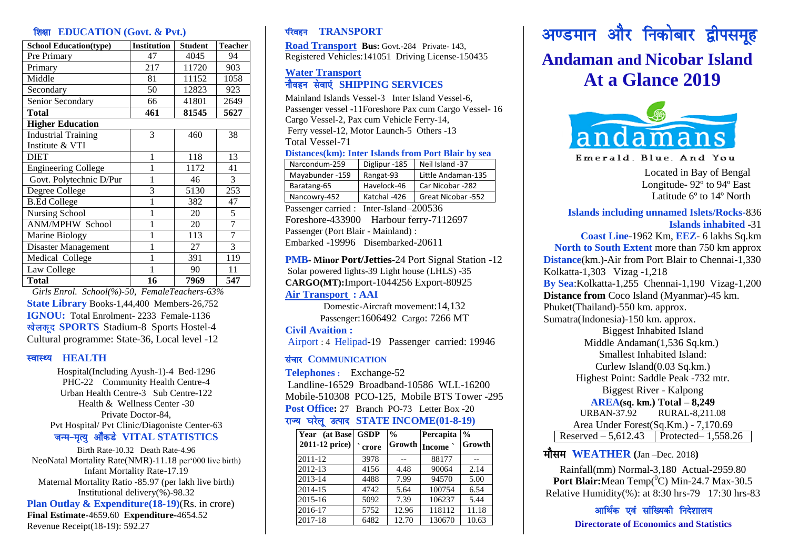### **हिस्स EDUCATION** (Govt. & Pvt.)

| <b>School Education(type)</b> | <b>Institution</b> | <b>Student</b> | <b>Teacher</b> |
|-------------------------------|--------------------|----------------|----------------|
| Pre Primary                   | 47                 | 4045           | 94             |
| Primary                       | 217                | 11720          | 903            |
| Middle                        | 81                 | 11152          | 1058           |
| Secondary                     | 50                 | 12823          | 923            |
| Senior Secondary              | 66                 | 41801          | 2649           |
| <b>Total</b>                  | 461                | 81545          | 5627           |
| <b>Higher Education</b>       |                    |                |                |
| <b>Industrial Training</b>    | 3                  | 460            | 38             |
| Institute & VTI               |                    |                |                |
| <b>DIET</b>                   | 1                  | 118            | 13             |
| <b>Engineering College</b>    | 1                  | 1172           | 41             |
| Govt. Polytechnic D/Pur       | 1                  | 46             | 3              |
| Degree College                | 3                  | 5130           | 253            |
| <b>B.Ed College</b>           | 1                  | 382            | 47             |
| Nursing School                | 1                  | 20             | 5              |
| <b>ANM/MPHW School</b>        | 1                  | 20             | $\overline{7}$ |
| Marine Biology                |                    | 113            | 7              |
| Disaster Management           |                    | 27             | 3              |
| Medical College               | 1                  | 391            | 119            |
| Law College                   |                    | 90             | 11             |
| <b>Total</b>                  | 16                 | 7969           | 547            |

 *Girls Enrol. School(%)-50, FemaleTeachers-63%* **State Library** Books-1,44,400 Members-26,752 **IGNOU:** Total Enrolment- 2233 Female-1136 **SPORTS** Stadium-8 Sports Hostel-4 Cultural programme: State-36, Local level -12

#### स्वास्थ्य **HEALTH**

Hospital(Including Ayush-1)-4 Bed-1296 PHC-22 Community Health Centre-4 Urban Health Centre-3 Sub Centre-122 Health & Wellness Center -30 Private Doctor-84, Pvt Hospital/ Pvt Clinic/Diagoniste Center-63 जन्म-मृत्य औंकडे VITAL STATISTICS

Birth Rate-10.32 Death Rate-4.96 NeoNatal Mortality Rate(NMR)-11.18 per'000 live birth) Infant Mortality Rate-17.19 Maternal Mortality Ratio -85.97 (per lakh live birth) Institutional delivery(%)-98.32 **Plan Outlay & Expenditure(18-19)**(Rs. in crore) **Final Estimate-**4659.60 **Expenditure-**4654.52 Revenue Receipt(18-19): 592.27

## पीवहन **TRANSPORT**

**Road Transport Bus: Govt.-284 Private- 143.** Registered Vehicles:141051 Driving License-150435

## **Water Transport** नौवहन सेवाएं SHIPPING SERVICES

Mainland Islands Vessel-3 Inter Island Vessel-6, Passenger vessel -11Foreshore Pax cum Cargo Vessel- 16 Cargo Vessel-2, Pax cum Vehicle Ferry-14, Ferry vessel-12, Motor Launch-5 Others -13 Total Vessel-71

#### **Distances(km): Inter Islands from Port Blair by sea**

| Narcondum-259                           | Diglipur -185 | Neil Island -37    |  |
|-----------------------------------------|---------------|--------------------|--|
| Mayabunder -159                         | Rangat-93     | Little Andaman-135 |  |
| Baratang-65                             | Havelock-46   | Car Nicobar -282   |  |
| Nancowry-452                            | Katchal-426   | Great Nicobar -552 |  |
| Passenger carried : Inter-Island-200536 |               |                    |  |

Foreshore-433900 Harbour ferry-7112697 Passenger (Port Blair - Mainland) : Embarked -19996 Disembarked-20611

#### **PMB- Minor Port/Jetties-**24 Port Signal Station -12 Solar powered lights-39 Light house (LHLS) -35 **CARGO(MT):**Import-1044256 Export-80925 **Air Transport : AAI**

Domestic-Aircraft movement:14,132 Passenger:1606492 Cargo: 7266 MT

**Civil Avaition :**  Airport : 4 Helipad**-**19Passenger carried: 19946

#### **संचार COMMUNICATION**

**Telephones :** Exchange-52 Landline-16529 Broadband-10586 WLL-16200 Mobile-510308 PCO-125, Mobile BTS Tower -295 Post Office: 27 Branch PO-73 Letter Box -20 राज्य घरेलू उत्पाद STATE INCOME(01-8-19)

| Year (at Base)<br>2011-12 price) | <b>GSDP</b><br>crore | $\frac{0}{0}$<br><b>Growth</b> | Percapita<br><b>Income</b> | $\frac{0}{0}$<br>Growth |
|----------------------------------|----------------------|--------------------------------|----------------------------|-------------------------|
| 2011-12                          | 3978                 |                                | 88177                      |                         |
| 2012-13                          | 4156                 | 4.48                           | 90064                      | 2.14                    |
| 2013-14                          | 4488                 | 7.99                           | 94570                      | 5.00                    |
| 2014-15                          | 4742                 | 5.64                           | 100754                     | 6.54                    |
| 2015-16                          | 5092                 | 7.39                           | 106237                     | 5.44                    |
| 2016-17                          | 5752                 | 12.96                          | 118112                     | 11.18                   |
| 2017-18                          | 6482                 | 12.70                          | 130670                     | 10.63                   |

# अण्डमान और निकोबार द्वीपसमूह **Andaman and Nicobar Island At a Glance 2019**



Emerald. Blue. And You

Located in Bay of Bengal Longitude- 92º to 94º East Latitude 6º to 14º North

**Islands including unnamed Islets/Rocks-**836 **Islands inhabited** -31 **Coast Line**-1962 Km, **EEZ**- 6 lakhs Sq.km **North to South Extent** more than 750 km approx **Distance**(km.)-Air from Port Blair to Chennai-1,330 Kolkatta-1,303 Vizag -1,218 **By Sea**:Kolkatta-1,255 Chennai-1,190 Vizag-1,200 **Distance from** Coco Island (Myanmar)-45 km. Phuket(Thailand)-550 km. approx. Sumatra(Indonesia)-150 km. approx. Biggest Inhabited Island Middle Andaman(1,536 Sq.km.) Smallest Inhabited Island: Curlew Island(0.03 Sq.km.) Highest Point: Saddle Peak -732 mtr. Biggest River - Kalpong **AREA(sq. km.) Total – 8,249** URBAN-37.92 RURAL-8,211.08 Area Under Forest(Sq.Km.) - 7,170.69 Reserved – 5,612.43 | Protected – 1,558.26

#### ekSle **WEATHER (**Jan –Dec. 2018**)**

Rainfall(mm) Normal-3,180 Actual-2959.80 **Port Blair:**Mean Temp( <sup>0</sup>C) Min-24.7 Max-30.5 Relative Humidity(%): at 8:30 hrs-79 17:30 hrs-83

> आर्थिक एवं सांख्यिकी निदेशालय **Directorate of Economics and Statistics**